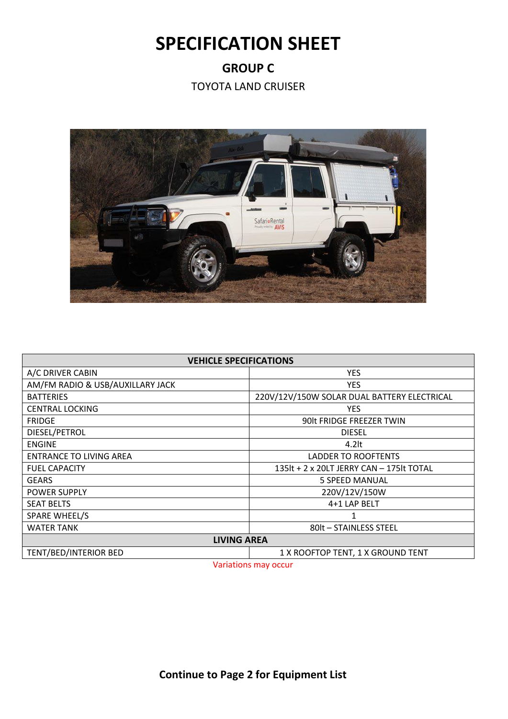## **SPECIFICATION SHEET**

**GROUP C**

TOYOTA LAND CRUISER



| <b>VEHICLE SPECIFICATIONS</b>                   |                                             |  |
|-------------------------------------------------|---------------------------------------------|--|
| A/C DRIVER CABIN                                | <b>YES</b>                                  |  |
| AM/FM RADIO & USB/AUXILLARY JACK                | <b>YES</b>                                  |  |
| <b>BATTERIES</b>                                | 220V/12V/150W SOLAR DUAL BATTERY ELECTRICAL |  |
| <b>CENTRAL LOCKING</b>                          | <b>YES</b>                                  |  |
| <b>FRIDGE</b>                                   | 90lt FRIDGE FREEZER TWIN                    |  |
| DIESEL/PETROL                                   | <b>DIESEL</b>                               |  |
| <b>ENGINE</b>                                   | $4.2$ lt                                    |  |
| <b>ENTRANCE TO LIVING AREA</b>                  | <b>LADDER TO ROOFTENTS</b>                  |  |
| <b>FUEL CAPACITY</b>                            | 135lt + 2 x 20LT JERRY CAN - 175lt TOTAL    |  |
| <b>GEARS</b>                                    | <b>5 SPEED MANUAL</b>                       |  |
| <b>POWER SUPPLY</b>                             | 220V/12V/150W                               |  |
| <b>SEAT BELTS</b>                               | 4+1 LAP BELT                                |  |
| <b>SPARE WHEEL/S</b>                            |                                             |  |
| <b>WATER TANK</b>                               | 80lt - STAINLESS STEEL                      |  |
| <b>LIVING AREA</b>                              |                                             |  |
| TENT/BED/INTERIOR BED<br><b><i>SALE AND</i></b> | 1 X ROOFTOP TENT, 1 X GROUND TENT           |  |

Variations may occur